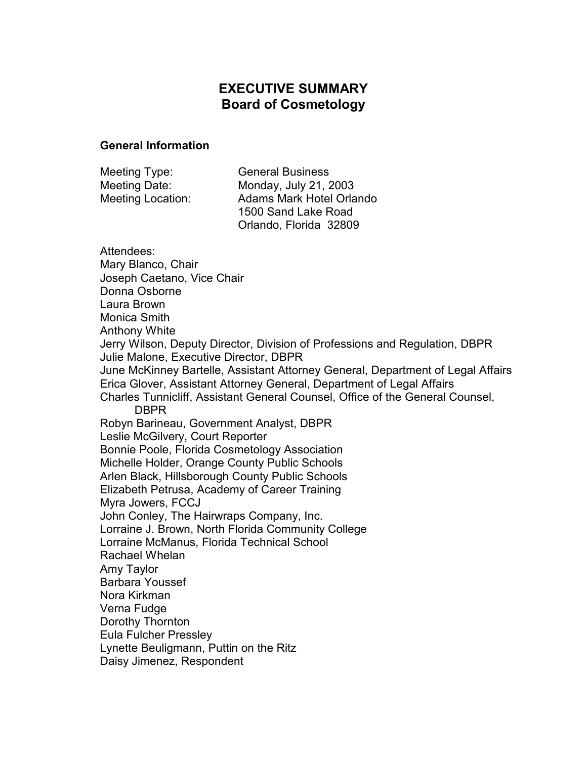# **EXECUTIVE SUMMARY Board of Cosmetology**

#### **General Information**

| Meeting Type:     | <b>General Business</b>  |
|-------------------|--------------------------|
| Meeting Date:     | Monday, July 21, 2003    |
| Meeting Location: | Adams Mark Hotel Orlando |
|                   | 1500 Sand Lake Road      |
|                   | Orlando, Florida 32809   |

Attendees: Mary Blanco, Chair Joseph Caetano, Vice Chair Donna Osborne Laura Brown Monica Smith Anthony White Jerry Wilson, Deputy Director, Division of Professions and Regulation, DBPR Julie Malone, Executive Director, DBPR June McKinney Bartelle, Assistant Attorney General, Department of Legal Affairs Erica Glover, Assistant Attorney General, Department of Legal Affairs Charles Tunnicliff, Assistant General Counsel, Office of the General Counsel, DBPR Robyn Barineau, Government Analyst, DBPR Leslie McGilvery, Court Reporter Bonnie Poole, Florida Cosmetology Association Michelle Holder, Orange County Public Schools Arlen Black, Hillsborough County Public Schools Elizabeth Petrusa, Academy of Career Training Myra Jowers, FCCJ John Conley, The Hairwraps Company, Inc. Lorraine J. Brown, North Florida Community College Lorraine McManus, Florida Technical School Rachael Whelan Amy Taylor Barbara Youssef Nora Kirkman Verna Fudge Dorothy Thornton Eula Fulcher Pressley Lynette Beuligmann, Puttin on the Ritz Daisy Jimenez, Respondent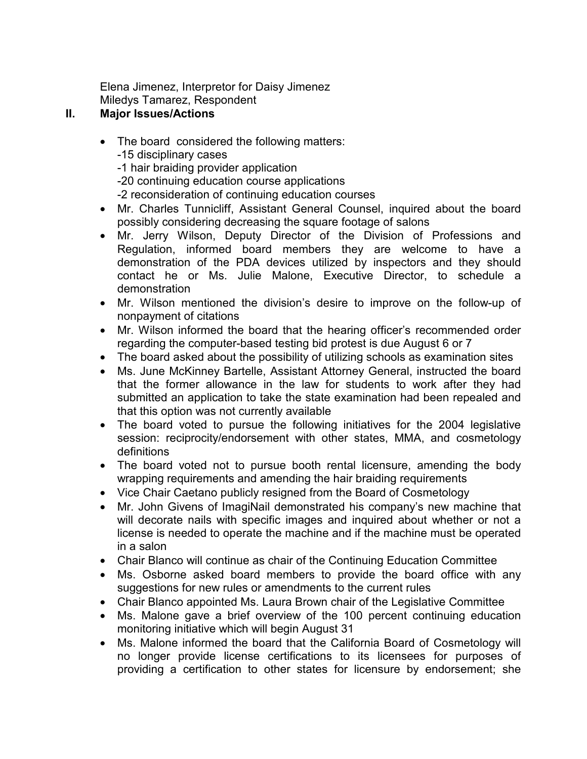Elena Jimenez, Interpretor for Daisy Jimenez Miledys Tamarez, Respondent

## **II. Major Issues/Actions**

- The board considered the following matters: -15 disciplinary cases -1 hair braiding provider application -20 continuing education course applications -2 reconsideration of continuing education courses
- Mr. Charles Tunnicliff, Assistant General Counsel, inquired about the board possibly considering decreasing the square footage of salons
- Mr. Jerry Wilson, Deputy Director of the Division of Professions and Regulation, informed board members they are welcome to have a demonstration of the PDA devices utilized by inspectors and they should contact he or Ms. Julie Malone, Executive Director, to schedule a demonstration
- Mr. Wilson mentioned the division's desire to improve on the follow-up of nonpayment of citations
- Mr. Wilson informed the board that the hearing officer's recommended order regarding the computer-based testing bid protest is due August 6 or 7
- The board asked about the possibility of utilizing schools as examination sites
- Ms. June McKinney Bartelle, Assistant Attorney General, instructed the board that the former allowance in the law for students to work after they had submitted an application to take the state examination had been repealed and that this option was not currently available
- The board voted to pursue the following initiatives for the 2004 legislative session: reciprocity/endorsement with other states, MMA, and cosmetology definitions
- The board voted not to pursue booth rental licensure, amending the body wrapping requirements and amending the hair braiding requirements
- Vice Chair Caetano publicly resigned from the Board of Cosmetology
- Mr. John Givens of ImagiNail demonstrated his company's new machine that will decorate nails with specific images and inquired about whether or not a license is needed to operate the machine and if the machine must be operated in a salon
- Chair Blanco will continue as chair of the Continuing Education Committee
- Ms. Osborne asked board members to provide the board office with any suggestions for new rules or amendments to the current rules
- Chair Blanco appointed Ms. Laura Brown chair of the Legislative Committee
- Ms. Malone gave a brief overview of the 100 percent continuing education monitoring initiative which will begin August 31
- Ms. Malone informed the board that the California Board of Cosmetology will no longer provide license certifications to its licensees for purposes of providing a certification to other states for licensure by endorsement; she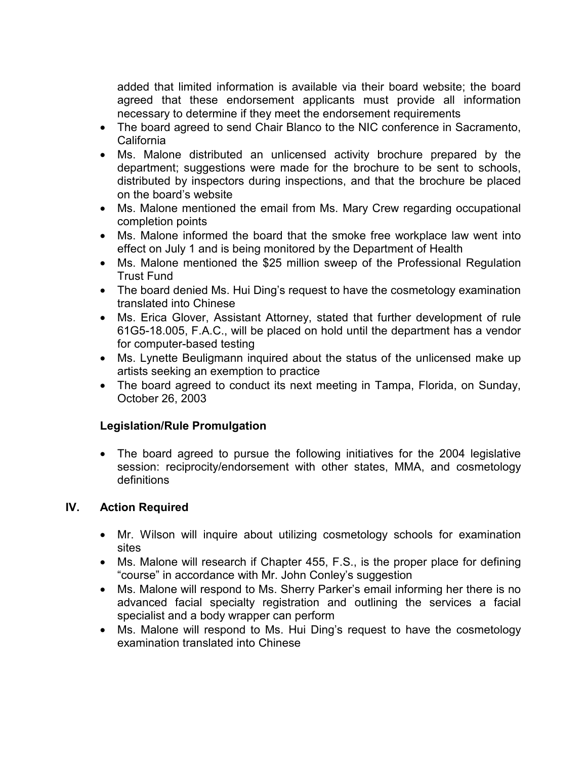added that limited information is available via their board website; the board agreed that these endorsement applicants must provide all information necessary to determine if they meet the endorsement requirements

- The board agreed to send Chair Blanco to the NIC conference in Sacramento, California
- Ms. Malone distributed an unlicensed activity brochure prepared by the department; suggestions were made for the brochure to be sent to schools, distributed by inspectors during inspections, and that the brochure be placed on the board's website
- Ms. Malone mentioned the email from Ms. Mary Crew regarding occupational completion points
- Ms. Malone informed the board that the smoke free workplace law went into effect on July 1 and is being monitored by the Department of Health
- Ms. Malone mentioned the \$25 million sweep of the Professional Regulation Trust Fund
- The board denied Ms. Hui Ding's request to have the cosmetology examination translated into Chinese
- Ms. Erica Glover, Assistant Attorney, stated that further development of rule 61G5-18.005, F.A.C., will be placed on hold until the department has a vendor for computer-based testing
- Ms. Lynette Beuligmann inquired about the status of the unlicensed make up artists seeking an exemption to practice
- The board agreed to conduct its next meeting in Tampa, Florida, on Sunday, October 26, 2003

## **Legislation/Rule Promulgation**

• The board agreed to pursue the following initiatives for the 2004 legislative session: reciprocity/endorsement with other states, MMA, and cosmetology definitions

## **IV. Action Required**

- Mr. Wilson will inquire about utilizing cosmetology schools for examination sites
- Ms. Malone will research if Chapter 455, F.S., is the proper place for defining "course" in accordance with Mr. John Conley's suggestion
- Ms. Malone will respond to Ms. Sherry Parker's email informing her there is no advanced facial specialty registration and outlining the services a facial specialist and a body wrapper can perform
- Ms. Malone will respond to Ms. Hui Ding's request to have the cosmetology examination translated into Chinese